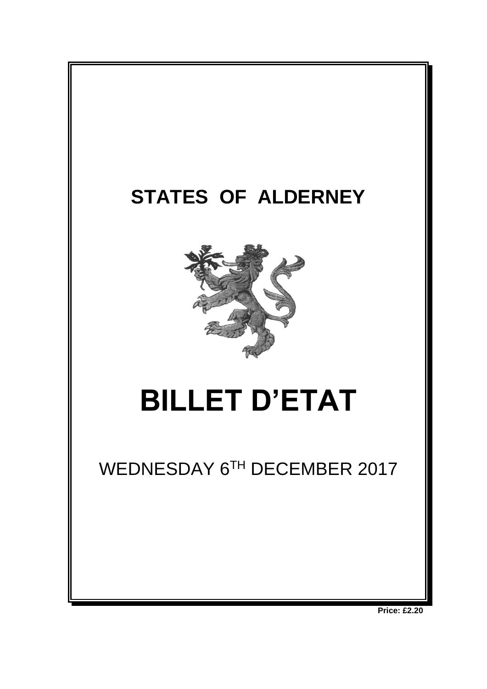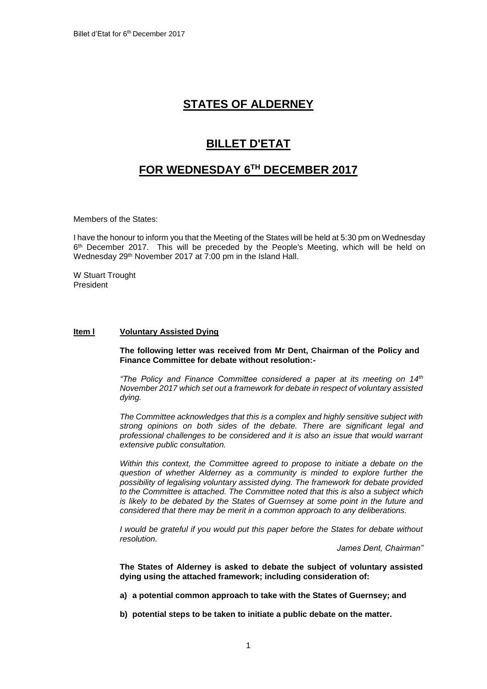# **STATES OF ALDERNEY**

# **BILLET D'ETAT**

# **FOR WEDNESDAY 6 TH DECEMBER 2017**

Members of the States:

I have the honour to inform you that the Meeting of the States will be held at 5:30 pm on Wednesday 6<sup>th</sup> December 2017. This will be preceded by the People's Meeting, which will be held on Wednesday 29th November 2017 at 7:00 pm in the Island Hall.

W Stuart Trought President

#### **Item l Voluntary Assisted Dying**

**The following letter was received from Mr Dent, Chairman of the Policy and Finance Committee for debate without resolution:-**

*"The Policy and Finance Committee considered a paper at its meeting on 14th November 2017 which set out a framework for debate in respect of voluntary assisted dying.*

*The Committee acknowledges that this is a complex and highly sensitive subject with strong opinions on both sides of the debate. There are significant legal and professional challenges to be considered and it is also an issue that would warrant extensive public consultation.*

*Within this context, the Committee agreed to propose to initiate a debate on the question of whether Alderney as a community is minded to explore further the possibility of legalising voluntary assisted dying. The framework for debate provided to the Committee is attached. The Committee noted that this is also a subject which is likely to be debated by the States of Guernsey at some point in the future and considered that there may be merit in a common approach to any deliberations.*

*I* would be grateful if you would put this paper before the States for debate without *resolution.*

*James Dent, Chairman"*

**The States of Alderney is asked to debate the subject of voluntary assisted dying using the attached framework; including consideration of:**

**a) a potential common approach to take with the States of Guernsey; and**

**b) potential steps to be taken to initiate a public debate on the matter.**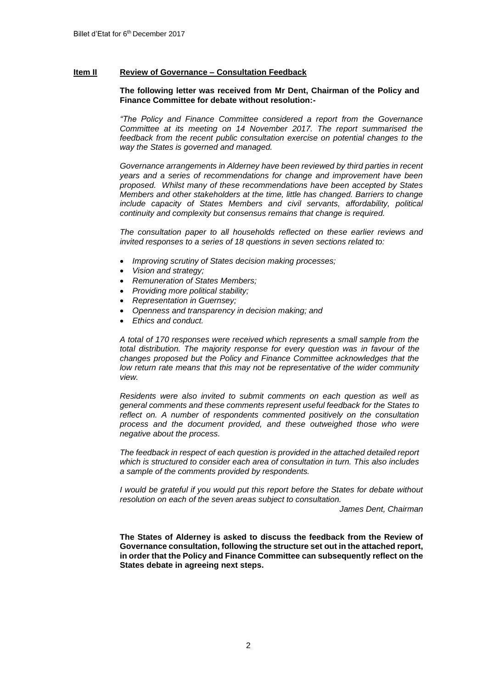# **Item II Review of Governance – Consultation Feedback**

# **The following letter was received from Mr Dent, Chairman of the Policy and Finance Committee for debate without resolution:-**

*"The Policy and Finance Committee considered a report from the Governance Committee at its meeting on 14 November 2017. The report summarised the feedback from the recent public consultation exercise on potential changes to the way the States is governed and managed.*

*Governance arrangements in Alderney have been reviewed by third parties in recent years and a series of recommendations for change and improvement have been proposed. Whilst many of these recommendations have been accepted by States Members and other stakeholders at the time, little has changed. Barriers to change include capacity of States Members and civil servants, affordability, political continuity and complexity but consensus remains that change is required.*

*The consultation paper to all households reflected on these earlier reviews and invited responses to a series of 18 questions in seven sections related to:*

- *Improving scrutiny of States decision making processes;*
- *Vision and strategy;*
- *Remuneration of States Members;*
- *Providing more political stability;*
- *Representation in Guernsey;*
- *Openness and transparency in decision making; and*
- *Ethics and conduct.*

*A total of 170 responses were received which represents a small sample from the total distribution. The majority response for every question was in favour of the changes proposed but the Policy and Finance Committee acknowledges that the low return rate means that this may not be representative of the wider community view.*

*Residents were also invited to submit comments on each question as well as general comments and these comments represent useful feedback for the States to*  reflect on. A number of respondents commented positively on the consultation *process and the document provided, and these outweighed those who were negative about the process.*

*The feedback in respect of each question is provided in the attached detailed report which is structured to consider each area of consultation in turn. This also includes a sample of the comments provided by respondents.*

*I would be grateful if you would put this report before the States for debate without resolution on each of the seven areas subject to consultation.*

*James Dent, Chairman*

**The States of Alderney is asked to discuss the feedback from the Review of Governance consultation, following the structure set out in the attached report, in order that the Policy and Finance Committee can subsequently reflect on the States debate in agreeing next steps.**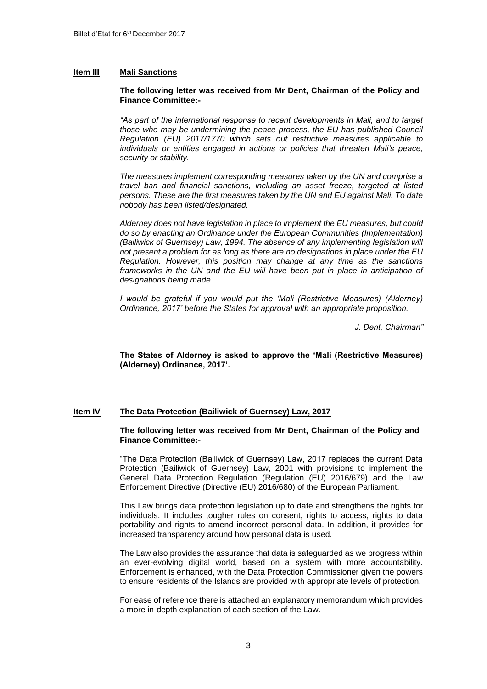#### **Item III Mali Sanctions**

#### **The following letter was received from Mr Dent, Chairman of the Policy and Finance Committee:-**

*"As part of the international response to recent developments in Mali, and to target those who may be undermining the peace process, the EU has published Council Regulation (EU) 2017/1770 which sets out restrictive measures applicable to individuals or entities engaged in actions or policies that threaten Mali's peace, security or stability.* 

*The measures implement corresponding measures taken by the UN and comprise a travel ban and financial sanctions, including an asset freeze, targeted at listed persons. These are the first measures taken by the UN and EU against Mali. To date nobody has been listed/designated.*

*Alderney does not have legislation in place to implement the EU measures, but could do so by enacting an Ordinance under the European Communities (Implementation) (Bailiwick of Guernsey) Law, 1994. The absence of any implementing legislation will not present a problem for as long as there are no designations in place under the EU Regulation. However, this position may change at any time as the sanctions*  frameworks in the UN and the EU will have been put in place in anticipation of *designations being made.*

*I would be grateful if you would put the 'Mali (Restrictive Measures) (Alderney) Ordinance, 2017' before the States for approval with an appropriate proposition.*

*J. Dent, Chairman"*

**The States of Alderney is asked to approve the 'Mali (Restrictive Measures) (Alderney) Ordinance, 2017'.**

#### **Item IV The Data Protection (Bailiwick of Guernsey) Law, 2017**

#### **The following letter was received from Mr Dent, Chairman of the Policy and Finance Committee:-**

"The Data Protection (Bailiwick of Guernsey) Law, 2017 replaces the current Data Protection (Bailiwick of Guernsey) Law, 2001 with provisions to implement the General Data Protection Regulation (Regulation (EU) 2016/679) and the Law Enforcement Directive (Directive (EU) 2016/680) of the European Parliament.

This Law brings data protection legislation up to date and strengthens the rights for individuals. It includes tougher rules on consent, rights to access, rights to data portability and rights to amend incorrect personal data. In addition, it provides for increased transparency around how personal data is used.

The Law also provides the assurance that data is safeguarded as we progress within an ever-evolving digital world, based on a system with more accountability. Enforcement is enhanced, with the Data Protection Commissioner given the powers to ensure residents of the Islands are provided with appropriate levels of protection.

For ease of reference there is attached an explanatory memorandum which provides a more in-depth explanation of each section of the Law.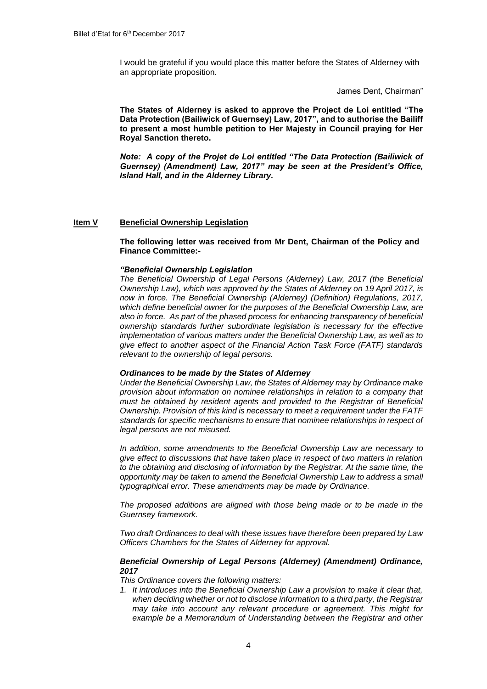I would be grateful if you would place this matter before the States of Alderney with an appropriate proposition.

James Dent, Chairman"

**The States of Alderney is asked to approve the Project de Loi entitled "The Data Protection (Bailiwick of Guernsey) Law, 2017", and to authorise the Bailiff to present a most humble petition to Her Majesty in Council praying for Her Royal Sanction thereto.**

*Note: A copy of the Projet de Loi entitled "The Data Protection (Bailiwick of Guernsey) (Amendment) Law, 2017" may be seen at the President's Office, Island Hall, and in the Alderney Library.* 

# **Item V Beneficial Ownership Legislation**

**The following letter was received from Mr Dent, Chairman of the Policy and Finance Committee:-**

# *"Beneficial Ownership Legislation*

*The Beneficial Ownership of Legal Persons (Alderney) Law, 2017 (the Beneficial Ownership Law), which was approved by the States of Alderney on 19 April 2017, is now in force. The Beneficial Ownership (Alderney) (Definition) Regulations, 2017, which define beneficial owner for the purposes of the Beneficial Ownership Law, are also in force. As part of the phased process for enhancing transparency of beneficial ownership standards further subordinate legislation is necessary for the effective implementation of various matters under the Beneficial Ownership Law, as well as to give effect to another aspect of the Financial Action Task Force (FATF) standards relevant to the ownership of legal persons.* 

# *Ordinances to be made by the States of Alderney*

*Under the Beneficial Ownership Law, the States of Alderney may by Ordinance make provision about information on nominee relationships in relation to a company that must be obtained by resident agents and provided to the Registrar of Beneficial Ownership. Provision of this kind is necessary to meet a requirement under the FATF standards for specific mechanisms to ensure that nominee relationships in respect of legal persons are not misused.* 

*In addition, some amendments to the Beneficial Ownership Law are necessary to give effect to discussions that have taken place in respect of two matters in relation to the obtaining and disclosing of information by the Registrar. At the same time, the opportunity may be taken to amend the Beneficial Ownership Law to address a small typographical error. These amendments may be made by Ordinance.*

*The proposed additions are aligned with those being made or to be made in the Guernsey framework.* 

*Two draft Ordinances to deal with these issues have therefore been prepared by Law Officers Chambers for the States of Alderney for approval.* 

#### *Beneficial Ownership of Legal Persons (Alderney) (Amendment) Ordinance, 2017*

*This Ordinance covers the following matters:*

*1. It introduces into the Beneficial Ownership Law a provision to make it clear that, when deciding whether or not to disclose information to a third party, the Registrar may take into account any relevant procedure or agreement. This might for example be a Memorandum of Understanding between the Registrar and other*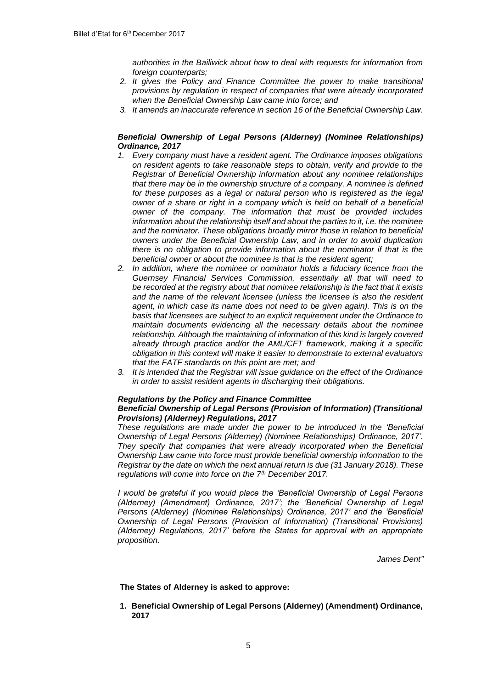*authorities in the Bailiwick about how to deal with requests for information from foreign counterparts;* 

- *2. It gives the Policy and Finance Committee the power to make transitional provisions by regulation in respect of companies that were already incorporated when the Beneficial Ownership Law came into force; and*
- *3. It amends an inaccurate reference in section 16 of the Beneficial Ownership Law.*

# *Beneficial Ownership of Legal Persons (Alderney) (Nominee Relationships) Ordinance, 2017*

- *1. Every company must have a resident agent. The Ordinance imposes obligations on resident agents to take reasonable steps to obtain, verify and provide to the Registrar of Beneficial Ownership information about any nominee relationships that there may be in the ownership structure of a company. A nominee is defined*  for these purposes as a legal or natural person who is registered as the legal *owner of a share or right in a company which is held on behalf of a beneficial owner of the company. The information that must be provided includes information about the relationship itself and about the parties to it, i.e. the nominee and the nominator. These obligations broadly mirror those in relation to beneficial owners under the Beneficial Ownership Law, and in order to avoid duplication there is no obligation to provide information about the nominator if that is the beneficial owner or about the nominee is that is the resident agent;*
- *2. In addition, where the nominee or nominator holds a fiduciary licence from the Guernsey Financial Services Commission, essentially all that will need to be recorded at the registry about that nominee relationship is the fact that it exists and the name of the relevant licensee (unless the licensee is also the resident agent, in which case its name does not need to be given again). This is on the basis that licensees are subject to an explicit requirement under the Ordinance to maintain documents evidencing all the necessary details about the nominee relationship. Although the maintaining of information of this kind is largely covered already through practice and/or the AML/CFT framework, making it a specific obligation in this context will make it easier to demonstrate to external evaluators that the FATF standards on this point are met; and*
- *3. It is intended that the Registrar will issue guidance on the effect of the Ordinance in order to assist resident agents in discharging their obligations.*

# *Regulations by the Policy and Finance Committee*

# *Beneficial Ownership of Legal Persons (Provision of Information) (Transitional Provisions) (Alderney) Regulations, 2017*

*These regulations are made under the power to be introduced in the 'Beneficial Ownership of Legal Persons (Alderney) (Nominee Relationships) Ordinance, 2017'. They specify that companies that were already incorporated when the Beneficial Ownership Law came into force must provide beneficial ownership information to the Registrar by the date on which the next annual return is due (31 January 2018). These regulations will come into force on the 7th December 2017.*

*I would be grateful if you would place the 'Beneficial Ownership of Legal Persons (Alderney) (Amendment) Ordinance, 2017'; the 'Beneficial Ownership of Legal Persons (Alderney) (Nominee Relationships) Ordinance, 2017' and the 'Beneficial Ownership of Legal Persons (Provision of Information) (Transitional Provisions) (Alderney) Regulations, 2017' before the States for approval with an appropriate proposition.*

*James Dent"*

**The States of Alderney is asked to approve:**

**1. Beneficial Ownership of Legal Persons (Alderney) (Amendment) Ordinance, 2017**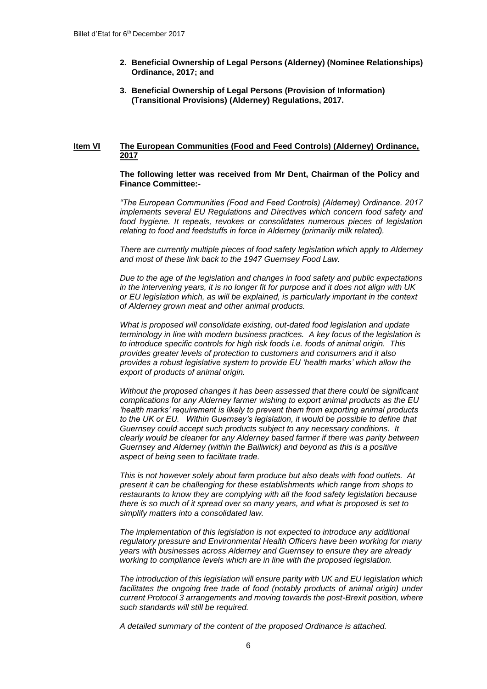- **2. Beneficial Ownership of Legal Persons (Alderney) (Nominee Relationships) Ordinance, 2017; and**
- **3. Beneficial Ownership of Legal Persons (Provision of Information) (Transitional Provisions) (Alderney) Regulations, 2017.**

#### **Item VI The European Communities (Food and Feed Controls) (Alderney) Ordinance, 2017**

#### **The following letter was received from Mr Dent, Chairman of the Policy and Finance Committee:-**

*"The European Communities (Food and Feed Controls) (Alderney) Ordinance. 2017 implements several EU Regulations and Directives which concern food safety and food hygiene. It repeals, revokes or consolidates numerous pieces of legislation relating to food and feedstuffs in force in Alderney (primarily milk related).* 

*There are currently multiple pieces of food safety legislation which apply to Alderney and most of these link back to the 1947 Guernsey Food Law.*

*Due to the age of the legislation and changes in food safety and public expectations in the intervening years, it is no longer fit for purpose and it does not align with UK or EU legislation which, as will be explained, is particularly important in the context of Alderney grown meat and other animal products.*

*What is proposed will consolidate existing, out-dated food legislation and update terminology in line with modern business practices. A key focus of the legislation is to introduce specific controls for high risk foods i.e. foods of animal origin. This provides greater levels of protection to customers and consumers and it also provides a robust legislative system to provide EU 'health marks' which allow the export of products of animal origin.*

*Without the proposed changes it has been assessed that there could be significant complications for any Alderney farmer wishing to export animal products as the EU 'health marks' requirement is likely to prevent them from exporting animal products*  to the UK or EU. Within Guernsey's legislation, it would be possible to define that *Guernsey could accept such products subject to any necessary conditions. It clearly would be cleaner for any Alderney based farmer if there was parity between Guernsey and Alderney (within the Bailiwick) and beyond as this is a positive aspect of being seen to facilitate trade.*

*This is not however solely about farm produce but also deals with food outlets. At present it can be challenging for these establishments which range from shops to restaurants to know they are complying with all the food safety legislation because there is so much of it spread over so many years, and what is proposed is set to simplify matters into a consolidated law.*

*The implementation of this legislation is not expected to introduce any additional regulatory pressure and Environmental Health Officers have been working for many years with businesses across Alderney and Guernsey to ensure they are already working to compliance levels which are in line with the proposed legislation.*

*The introduction of this legislation will ensure parity with UK and EU legislation which*  facilitates the ongoing free trade of food (notably products of animal origin) under *current Protocol 3 arrangements and moving towards the post-Brexit position, where such standards will still be required.*

*A detailed summary of the content of the proposed Ordinance is attached.*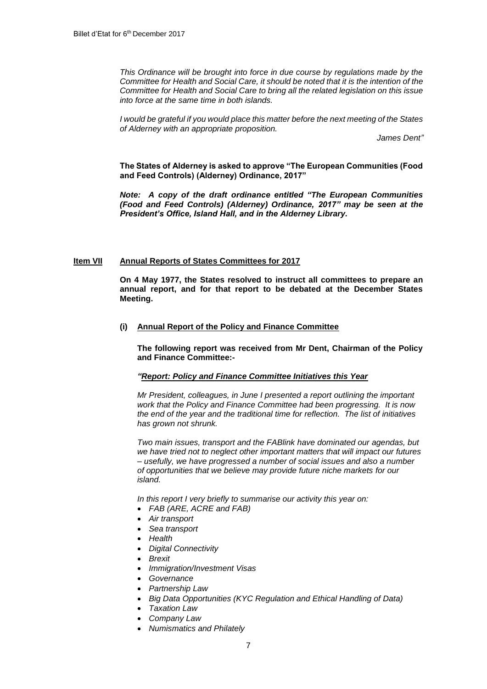*This Ordinance will be brought into force in due course by regulations made by the Committee for Health and Social Care, it should be noted that it is the intention of the Committee for Health and Social Care to bring all the related legislation on this issue into force at the same time in both islands.*

*I would be grateful if you would place this matter before the next meeting of the States of Alderney with an appropriate proposition.*

*James Dent"*

**The States of Alderney is asked to approve "The European Communities (Food and Feed Controls) (Alderney) Ordinance, 2017"**

*Note: A copy of the draft ordinance entitled "The European Communities (Food and Feed Controls) (Alderney) Ordinance, 2017" may be seen at the President's Office, Island Hall, and in the Alderney Library.* 

# **Item VII Annual Reports of States Committees for 2017**

**On 4 May 1977, the States resolved to instruct all committees to prepare an annual report, and for that report to be debated at the December States Meeting.**

# **(i) Annual Report of the Policy and Finance Committee**

**The following report was received from Mr Dent, Chairman of the Policy and Finance Committee:-**

# *"Report: Policy and Finance Committee Initiatives this Year*

*Mr President, colleagues, in June I presented a report outlining the important work that the Policy and Finance Committee had been progressing. It is now the end of the year and the traditional time for reflection. The list of initiatives has grown not shrunk.*

*Two main issues, transport and the FABlink have dominated our agendas, but we have tried not to neglect other important matters that will impact our futures – usefully, we have progressed a number of social issues and also a number of opportunities that we believe may provide future niche markets for our island.* 

*In this report I very briefly to summarise our activity this year on:*

- *FAB (ARE, ACRE and FAB)*
- *Air transport*
- *Sea transport*
- *Health*
- *Digital Connectivity*
- *Brexit*
- *Immigration/Investment Visas*
- *Governance*
- *Partnership Law*
- *Big Data Opportunities (KYC Regulation and Ethical Handling of Data)*
- *Taxation Law*
- *Company Law*
- *Numismatics and Philately*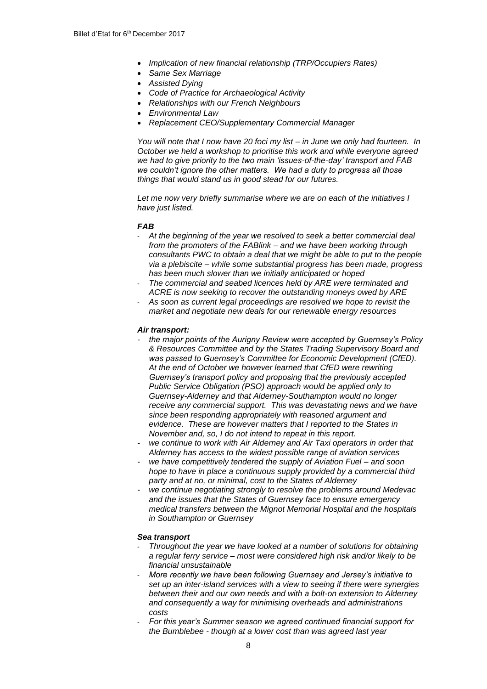- *Implication of new financial relationship (TRP/Occupiers Rates)*
- *Same Sex Marriage*
- *Assisted Dying*
- *Code of Practice for Archaeological Activity*
- *Relationships with our French Neighbours*
- *Environmental Law*
- *Replacement CEO/Supplementary Commercial Manager*

*You will note that I now have 20 foci my list – in June we only had fourteen. In October we held a workshop to prioritise this work and while everyone agreed we had to give priority to the two main 'issues-of-the-day' transport and FAB we couldn't ignore the other matters. We had a duty to progress all those things that would stand us in good stead for our futures.*

*Let me now very briefly summarise where we are on each of the initiatives I have just listed.*

#### *FAB*

- *At the beginning of the year we resolved to seek a better commercial deal from the promoters of the FABlink – and we have been working through consultants PWC to obtain a deal that we might be able to put to the people via a plebiscite – while some substantial progress has been made, progress has been much slower than we initially anticipated or hoped*
- *The commercial and seabed licences held by ARE were terminated and ACRE is now seeking to recover the outstanding moneys owed by ARE*
- *As soon as current legal proceedings are resolved we hope to revisit the market and negotiate new deals for our renewable energy resources*

#### *Air transport:*

- *- the major points of the Aurigny Review were accepted by Guernsey's Policy & Resources Committee and by the States Trading Supervisory Board and was passed to Guernsey's Committee for Economic Development (CfED). At the end of October we however learned that CfED were rewriting Guernsey's transport policy and proposing that the previously accepted Public Service Obligation (PSO) approach would be applied only to Guernsey-Alderney and that Alderney-Southampton would no longer receive any commercial support. This was devastating news and we have since been responding appropriately with reasoned argument and evidence. These are however matters that I reported to the States in November and, so, I do not intend to repeat in this report.*
- *- we continue to work with Air Alderney and Air Taxi operators in order that Alderney has access to the widest possible range of aviation services*
- *- we have competitively tendered the supply of Aviation Fuel – and soon hope to have in place a continuous supply provided by a commercial third party and at no, or minimal, cost to the States of Alderney*
- *- we continue negotiating strongly to resolve the problems around Medevac and the issues that the States of Guernsey face to ensure emergency medical transfers between the Mignot Memorial Hospital and the hospitals in Southampton or Guernsey*

#### *Sea transport*

- *Throughout the year we have looked at a number of solutions for obtaining a regular ferry service – most were considered high risk and/or likely to be financial unsustainable*
- *More recently we have been following Guernsey and Jersey's initiative to set up an inter-island services with a view to seeing if there were synergies between their and our own needs and with a bolt-on extension to Alderney and consequently a way for minimising overheads and administrations costs*
- *For this year's Summer season we agreed continued financial support for the Bumblebee - though at a lower cost than was agreed last year*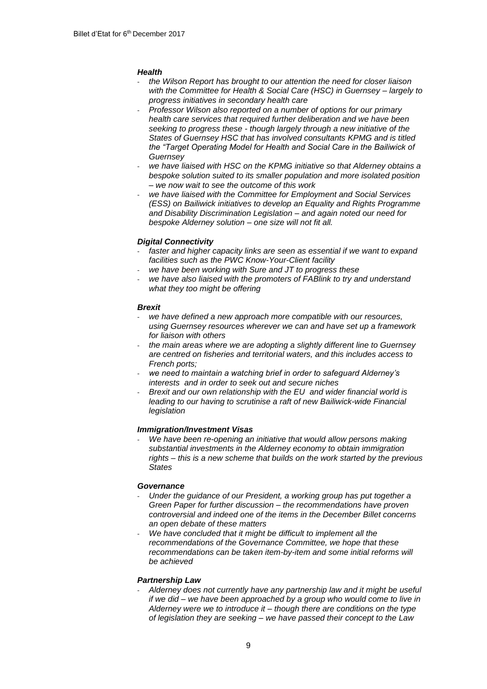# *Health*

- *the Wilson Report has brought to our attention the need for closer liaison with the Committee for Health & Social Care (HSC) in Guernsey – largely to progress initiatives in secondary health care*
- *Professor Wilson also reported on a number of options for our primary health care services that required further deliberation and we have been seeking to progress these - though largely through a new initiative of the States of Guernsey HSC that has involved consultants KPMG and is titled the "Target Operating Model for Health and Social Care in the Bailiwick of Guernsey*
- *we have liaised with HSC on the KPMG initiative so that Alderney obtains a bespoke solution suited to its smaller population and more isolated position – we now wait to see the outcome of this work*
- *we have liaised with the Committee for Employment and Social Services (ESS) on Bailiwick initiatives to develop an Equality and Rights Programme and Disability Discrimination Legislation – and again noted our need for bespoke Alderney solution – one size will not fit all.*

# *Digital Connectivity*

- faster and higher capacity links are seen as essential if we want to expand *facilities such as the PWC Know-Your-Client facility*
- we have been working with Sure and JT to progress these
- we have also liaised with the promoters of FABlink to try and understand *what they too might be offering*

# *Brexit*

- we have defined a new approach more compatible with our resources, *using Guernsey resources wherever we can and have set up a framework for liaison with others*
- *the main areas where we are adopting a slightly different line to Guernsey are centred on fisheries and territorial waters, and this includes access to French ports;*
- we need to maintain a watching brief in order to safeguard Alderney's *interests and in order to seek out and secure niches*
- *Brexit and our own relationship with the EU and wider financial world is leading to our having to scrutinise a raft of new Bailiwick-wide Financial legislation*

# *Immigration/Investment Visas*

- *We have been re-opening an initiative that would allow persons making substantial investments in the Alderney economy to obtain immigration rights – this is a new scheme that builds on the work started by the previous States*

# *Governance*

- *Under the guidance of our President, a working group has put together a Green Paper for further discussion – the recommendations have proven controversial and indeed one of the items in the December Billet concerns an open debate of these matters*
- *We have concluded that it might be difficult to implement all the recommendations of the Governance Committee, we hope that these recommendations can be taken item-by-item and some initial reforms will be achieved*

# *Partnership Law*

- *Alderney does not currently have any partnership law and it might be useful if we did – we have been approached by a group who would come to live in Alderney were we to introduce it – though there are conditions on the type of legislation they are seeking – we have passed their concept to the Law*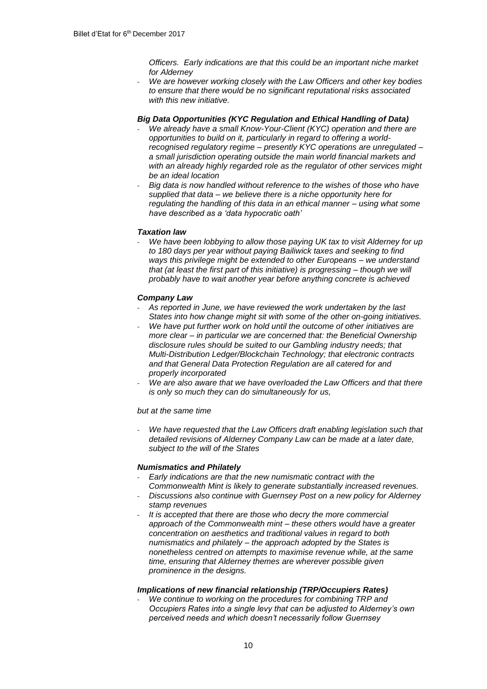*Officers. Early indications are that this could be an important niche market for Alderney*

- *We are however working closely with the Law Officers and other key bodies to ensure that there would be no significant reputational risks associated with this new initiative.*

# *Big Data Opportunities (KYC Regulation and Ethical Handling of Data)*

- *We already have a small Know-Your-Client (KYC) operation and there are opportunities to build on it, particularly in regard to offering a worldrecognised regulatory regime – presently KYC operations are unregulated – a small jurisdiction operating outside the main world financial markets and with an already highly regarded role as the regulator of other services might be an ideal location*
- *Big data is now handled without reference to the wishes of those who have supplied that data – we believe there is a niche opportunity here for regulating the handling of this data in an ethical manner – using what some have described as a 'data hypocratic oath'*

# *Taxation law*

We have been lobbying to allow those paying UK tax to visit Alderney for up *to 180 days per year without paying Bailiwick taxes and seeking to find ways this privilege might be extended to other Europeans – we understand that (at least the first part of this initiative) is progressing – though we will probably have to wait another year before anything concrete is achieved*

# *Company Law*

- *As reported in June, we have reviewed the work undertaken by the last States into how change might sit with some of the other on-going initiatives.*
- *We have put further work on hold until the outcome of other initiatives are more clear – in particular we are concerned that: the Beneficial Ownership disclosure rules should be suited to our Gambling industry needs; that Multi-Distribution Ledger/Blockchain Technology; that electronic contracts and that General Data Protection Regulation are all catered for and properly incorporated*
- *We are also aware that we have overloaded the Law Officers and that there is only so much they can do simultaneously for us,*

# *but at the same time*

We have requested that the Law Officers draft enabling legislation such that *detailed revisions of Alderney Company Law can be made at a later date, subject to the will of the States*

#### *Numismatics and Philately*

- *Early indications are that the new numismatic contract with the Commonwealth Mint is likely to generate substantially increased revenues.*
- *Discussions also continue with Guernsey Post on a new policy for Alderney stamp revenues*
- *It is accepted that there are those who decry the more commercial approach of the Commonwealth mint – these others would have a greater concentration on aesthetics and traditional values in regard to both numismatics and philately – the approach adopted by the States is nonetheless centred on attempts to maximise revenue while, at the same time, ensuring that Alderney themes are wherever possible given prominence in the designs.*

# *Implications of new financial relationship (TRP/Occupiers Rates)*

- *We continue to working on the procedures for combining TRP and Occupiers Rates into a single levy that can be adjusted to Alderney's own perceived needs and which doesn't necessarily follow Guernsey*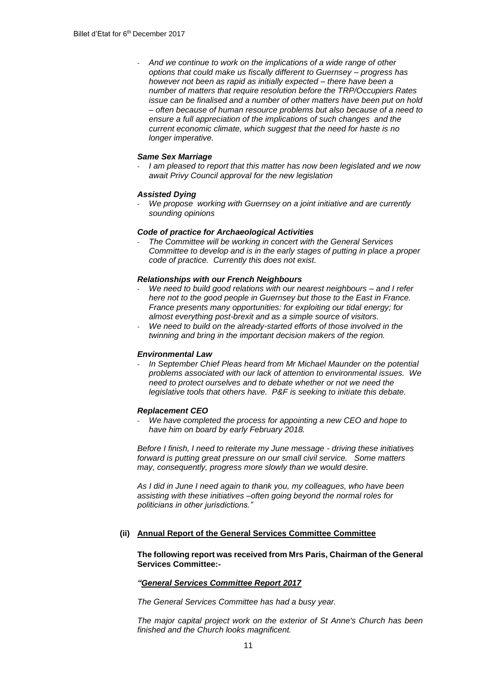- *And we continue to work on the implications of a wide range of other options that could make us fiscally different to Guernsey – progress has however not been as rapid as initially expected – there have been a number of matters that require resolution before the TRP/Occupiers Rates issue can be finalised and a number of other matters have been put on hold – often because of human resource problems but also because of a need to ensure a full appreciation of the implications of such changes and the current economic climate, which suggest that the need for haste is no longer imperative.*

# *Same Sex Marriage*

- *I am pleased to report that this matter has now been legislated and we now await Privy Council approval for the new legislation*

#### *Assisted Dying*

- *We propose working with Guernsey on a joint initiative and are currently sounding opinions*

# *Code of practice for Archaeological Activities*

- *The Committee will be working in concert with the General Services Committee to develop and is in the early stages of putting in place a proper code of practice. Currently this does not exist.*

#### *Relationships with our French Neighbours*

- *We need to build good relations with our nearest neighbours – and I refer here not to the good people in Guernsey but those to the East in France. France presents many opportunities: for exploiting our tidal energy; for almost everything post-brexit and as a simple source of visitors.*
- *We need to build on the already-started efforts of those involved in the twinning and bring in the important decision makers of the region.*

#### *Environmental Law*

- *In September Chief Pleas heard from Mr Michael Maunder on the potential problems associated with our lack of attention to environmental issues. We need to protect ourselves and to debate whether or not we need the legislative tools that others have. P&F is seeking to initiate this debate.*

#### *Replacement CEO*

- *We have completed the process for appointing a new CEO and hope to have him on board by early February 2018.*

*Before I finish, I need to reiterate my June message - driving these initiatives forward is putting great pressure on our small civil service. Some matters may, consequently, progress more slowly than we would desire.* 

*As I did in June I need again to thank you, my colleagues, who have been assisting with these initiatives –often going beyond the normal roles for politicians in other jurisdictions."*

# **(ii) Annual Report of the General Services Committee Committee**

#### **The following report was received from Mrs Paris, Chairman of the General Services Committee:-**

#### *"General Services Committee Report 2017*

*The General Services Committee has had a busy year.*

*The major capital project work on the exterior of St Anne's Church has been finished and the Church looks magnificent.*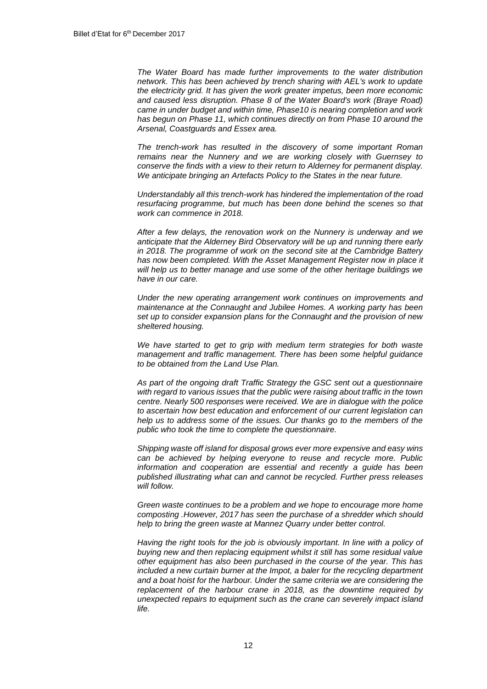*The Water Board has made further improvements to the water distribution network. This has been achieved by trench sharing with AEL's work to update the electricity grid. It has given the work greater impetus, been more economic and caused less disruption. Phase 8 of the Water Board's work (Braye Road) came in under budget and within time, Phase10 is nearing completion and work has begun on Phase 11, which continues directly on from Phase 10 around the Arsenal, Coastguards and Essex area.* 

*The trench-work has resulted in the discovery of some important Roman remains near the Nunnery and we are working closely with Guernsey to conserve the finds with a view to their return to Alderney for permanent display. We anticipate bringing an Artefacts Policy to the States in the near future.*

*Understandably all this trench-work has hindered the implementation of the road resurfacing programme, but much has been done behind the scenes so that work can commence in 2018.*

*After a few delays, the renovation work on the Nunnery is underway and we anticipate that the Alderney Bird Observatory will be up and running there early in 2018. The programme of work on the second site at the Cambridge Battery has now been completed. With the Asset Management Register now in place it will help us to better manage and use some of the other heritage buildings we have in our care.* 

*Under the new operating arrangement work continues on improvements and maintenance at the Connaught and Jubilee Homes. A working party has been set up to consider expansion plans for the Connaught and the provision of new sheltered housing.*

*We have started to get to grip with medium term strategies for both waste management and traffic management. There has been some helpful guidance to be obtained from the Land Use Plan.*

*As part of the ongoing draft Traffic Strategy the GSC sent out a questionnaire with regard to various issues that the public were raising about traffic in the town centre. Nearly 500 responses were received. We are in dialogue with the police to ascertain how best education and enforcement of our current legislation can help us to address some of the issues. Our thanks go to the members of the public who took the time to complete the questionnaire.*

*Shipping waste off island for disposal grows ever more expensive and easy wins can be achieved by helping everyone to reuse and recycle more. Public information and cooperation are essential and recently a guide has been published illustrating what can and cannot be recycled. Further press releases will follow.* 

*Green waste continues to be a problem and we hope to encourage more home composting .However, 2017 has seen the purchase of a shredder which should help to bring the green waste at Mannez Quarry under better control.*

*Having the right tools for the job is obviously important. In line with a policy of buying new and then replacing equipment whilst it still has some residual value other equipment has also been purchased in the course of the year. This has included a new curtain burner at the Impot, a baler for the recycling department and a boat hoist for the harbour. Under the same criteria we are considering the replacement of the harbour crane in 2018, as the downtime required by unexpected repairs to equipment such as the crane can severely impact island life.*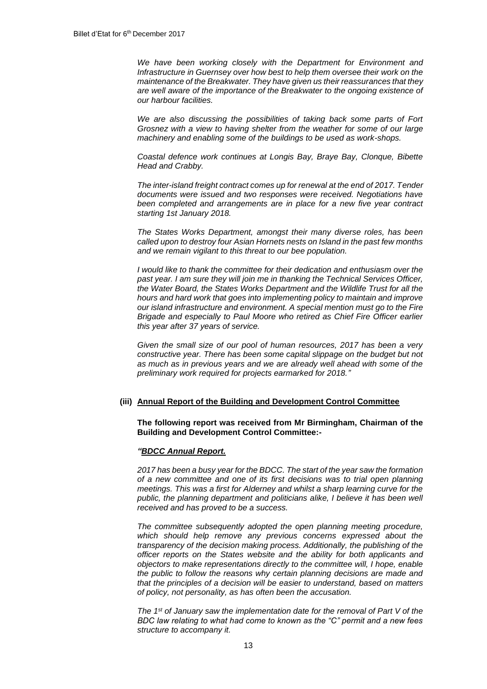*We have been working closely with the Department for Environment and Infrastructure in Guernsey over how best to help them oversee their work on the maintenance of the Breakwater. They have given us their reassurances that they are well aware of the importance of the Breakwater to the ongoing existence of our harbour facilities.*

*We are also discussing the possibilities of taking back some parts of Fort Grosnez with a view to having shelter from the weather for some of our large machinery and enabling some of the buildings to be used as work-shops.*

*Coastal defence work continues at Longis Bay, Braye Bay, Clonque, Bibette Head and Crabby.*

*The inter-island freight contract comes up for renewal at the end of 2017. Tender documents were issued and two responses were received. Negotiations have been completed and arrangements are in place for a new five year contract starting 1st January 2018.*

*The States Works Department, amongst their many diverse roles, has been called upon to destroy four Asian Hornets nests on Island in the past few months and we remain vigilant to this threat to our bee population.*

*I would like to thank the committee for their dedication and enthusiasm over the past year. I am sure they will join me in thanking the Technical Services Officer, the Water Board, the States Works Department and the Wildlife Trust for all the hours and hard work that goes into implementing policy to maintain and improve our island infrastructure and environment. A special mention must go to the Fire Brigade and especially to Paul Moore who retired as Chief Fire Officer earlier this year after 37 years of service.*

*Given the small size of our pool of human resources, 2017 has been a very constructive year. There has been some capital slippage on the budget but not as much as in previous years and we are already well ahead with some of the preliminary work required for projects earmarked for 2018."*

# **(iii) Annual Report of the Building and Development Control Committee**

**The following report was received from Mr Birmingham, Chairman of the Building and Development Control Committee:-**

#### *"BDCC Annual Report.*

*2017 has been a busy year for the BDCC. The start of the year saw the formation of a new committee and one of its first decisions was to trial open planning meetings. This was a first for Alderney and whilst a sharp learning curve for the public, the planning department and politicians alike, I believe it has been well received and has proved to be a success.*

*The committee subsequently adopted the open planning meeting procedure, which should help remove any previous concerns expressed about the transparency of the decision making process. Additionally, the publishing of the officer reports on the States website and the ability for both applicants and objectors to make representations directly to the committee will, I hope, enable the public to follow the reasons why certain planning decisions are made and that the principles of a decision will be easier to understand, based on matters of policy, not personality, as has often been the accusation.*

*The 1st of January saw the implementation date for the removal of Part V of the BDC law relating to what had come to known as the "C" permit and a new fees structure to accompany it.*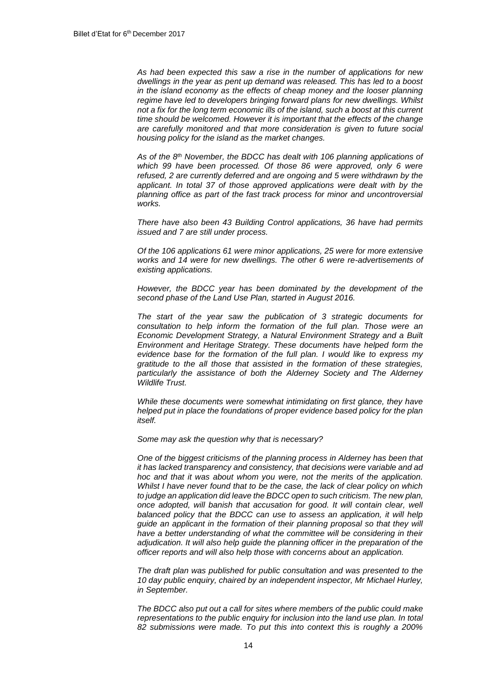*As had been expected this saw a rise in the number of applications for new dwellings in the year as pent up demand was released. This has led to a boost in the island economy as the effects of cheap money and the looser planning regime have led to developers bringing forward plans for new dwellings. Whilst not a fix for the long term economic ills of the island, such a boost at this current time should be welcomed. However it is important that the effects of the change are carefully monitored and that more consideration is given to future social housing policy for the island as the market changes.*

*As of the 8th November, the BDCC has dealt with 106 planning applications of which 99 have been processed. Of those 86 were approved, only 6 were refused, 2 are currently deferred and are ongoing and 5 were withdrawn by the*  applicant. In total 37 of those approved applications were dealt with by the *planning office as part of the fast track process for minor and uncontroversial works.* 

*There have also been 43 Building Control applications, 36 have had permits issued and 7 are still under process.*

*Of the 106 applications 61 were minor applications, 25 were for more extensive works and 14 were for new dwellings. The other 6 were re-advertisements of existing applications.*

*However, the BDCC year has been dominated by the development of the second phase of the Land Use Plan, started in August 2016.*

*The start of the year saw the publication of 3 strategic documents for consultation to help inform the formation of the full plan. Those were an Economic Development Strategy, a Natural Environment Strategy and a Built Environment and Heritage Strategy. These documents have helped form the evidence base for the formation of the full plan. I would like to express my gratitude to the all those that assisted in the formation of these strategies, particularly the assistance of both the Alderney Society and The Alderney Wildlife Trust.*

*While these documents were somewhat intimidating on first glance, they have helped put in place the foundations of proper evidence based policy for the plan itself.*

*Some may ask the question why that is necessary?*

*One of the biggest criticisms of the planning process in Alderney has been that it has lacked transparency and consistency, that decisions were variable and ad hoc and that it was about whom you were, not the merits of the application. Whilst I have never found that to be the case, the lack of clear policy on which to judge an application did leave the BDCC open to such criticism. The new plan, once adopted, will banish that accusation for good. It will contain clear, well balanced policy that the BDCC can use to assess an application, it will help guide an applicant in the formation of their planning proposal so that they will have a better understanding of what the committee will be considering in their adjudication. It will also help guide the planning officer in the preparation of the officer reports and will also help those with concerns about an application.*

*The draft plan was published for public consultation and was presented to the 10 day public enquiry, chaired by an independent inspector, Mr Michael Hurley, in September.* 

*The BDCC also put out a call for sites where members of the public could make representations to the public enquiry for inclusion into the land use plan. In total 82 submissions were made. To put this into context this is roughly a 200%*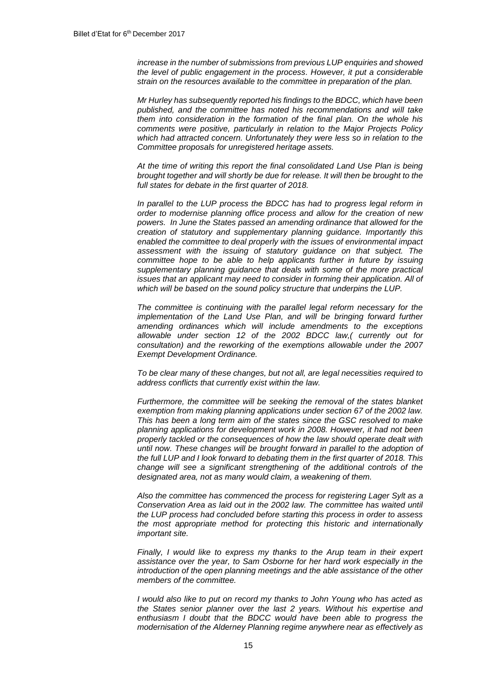*increase in the number of submissions from previous LUP enquiries and showed the level of public engagement in the process. However, it put a considerable strain on the resources available to the committee in preparation of the plan.*

*Mr Hurley has subsequently reported his findings to the BDCC, which have been published, and the committee has noted his recommendations and will take them into consideration in the formation of the final plan. On the whole his comments were positive, particularly in relation to the Major Projects Policy which had attracted concern. Unfortunately they were less so in relation to the Committee proposals for unregistered heritage assets.*

*At the time of writing this report the final consolidated Land Use Plan is being brought together and will shortly be due for release. It will then be brought to the full states for debate in the first quarter of 2018.*

*In parallel to the LUP process the BDCC has had to progress legal reform in order to modernise planning office process and allow for the creation of new powers. In June the States passed an amending ordinance that allowed for the creation of statutory and supplementary planning guidance. Importantly this enabled the committee to deal properly with the issues of environmental impact assessment with the issuing of statutory guidance on that subject. The committee hope to be able to help applicants further in future by issuing supplementary planning guidance that deals with some of the more practical issues that an applicant may need to consider in forming their application. All of which will be based on the sound policy structure that underpins the LUP.*

*The committee is continuing with the parallel legal reform necessary for the implementation of the Land Use Plan, and will be bringing forward further amending ordinances which will include amendments to the exceptions allowable under section 12 of the 2002 BDCC law,( currently out for consultation) and the reworking of the exemptions allowable under the 2007 Exempt Development Ordinance.*

*To be clear many of these changes, but not all, are legal necessities required to address conflicts that currently exist within the law.*

*Furthermore, the committee will be seeking the removal of the states blanket exemption from making planning applications under section 67 of the 2002 law. This has been a long term aim of the states since the GSC resolved to make planning applications for development work in 2008. However, it had not been properly tackled or the consequences of how the law should operate dealt with until now. These changes will be brought forward in parallel to the adoption of the full LUP and I look forward to debating them in the first quarter of 2018. This change will see a significant strengthening of the additional controls of the designated area, not as many would claim, a weakening of them.*

*Also the committee has commenced the process for registering Lager Sylt as a Conservation Area as laid out in the 2002 law. The committee has waited until the LUP process had concluded before starting this process in order to assess the most appropriate method for protecting this historic and internationally important site.*

*Finally, I would like to express my thanks to the Arup team in their expert assistance over the year, to Sam Osborne for her hard work especially in the introduction of the open planning meetings and the able assistance of the other members of the committee.*

*I would also like to put on record my thanks to John Young who has acted as the States senior planner over the last 2 years. Without his expertise and enthusiasm I doubt that the BDCC would have been able to progress the modernisation of the Alderney Planning regime anywhere near as effectively as*